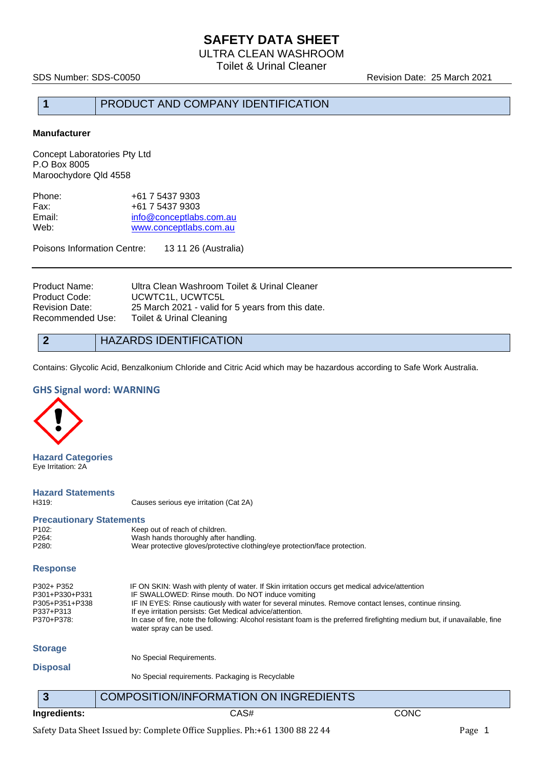ULTRA CLEAN WASHROOM

Toilet & Urinal Cleaner

SDS Number: SDS-C0050 Revision Date: 25 March 2021

#### **1** PRODUCT AND COMPANY IDENTIFICATION

#### **Manufacturer**

Concept Laboratories Pty Ltd P.O Box 8005 Maroochydore Qld 4558

| +61 7 5437 9303         |
|-------------------------|
| +61 7 5437 9303         |
| info@conceptlabs.com.au |
| www.conceptlabs.com.au  |
|                         |

Poisons Information Centre: 13 11 26 (Australia)

| Product Name:    | Ultra Clean Washroom Toilet & Urinal Cleaner      |
|------------------|---------------------------------------------------|
| Product Code:    | UCWTC1L, UCWTC5L                                  |
| Revision Date:   | 25 March 2021 - valid for 5 years from this date. |
| Recommended Use: | Toilet & Urinal Cleaning                          |

#### **2** HAZARDS IDENTIFICATION

Contains: Glycolic Acid, Benzalkonium Chloride and Citric Acid which may be hazardous according to Safe Work Australia.

#### **GHS Signal word: WARNING**



**Hazard Categories** Eye Irritation: 2A

# **Hazard Statements**

Causes serious eye irritation (Cat 2A)

| <b>Precautionary Statements</b> |                                                                            |
|---------------------------------|----------------------------------------------------------------------------|
| P <sub>102</sub> :              | Keep out of reach of children.                                             |
| P <sub>264</sub> :              | Wash hands thoroughly after handling.                                      |
| P280:                           | Wear protective gloves/protective clothing/eye protection/face protection. |

#### **Response**

| P302+ P352<br>P301+P330+P331 | IF ON SKIN: Wash with plenty of water. If Skin irritation occurs get medical advice/attention<br>IF SWALLOWED: Rinse mouth. Do NOT induce vomiting                                      |
|------------------------------|-----------------------------------------------------------------------------------------------------------------------------------------------------------------------------------------|
| P305+P351+P338               | IF IN EYES: Rinse cautiously with water for several minutes. Remove contact lenses, continue rinsing.                                                                                   |
| P337+P313<br>P370+P378:      | If eye irritation persists: Get Medical advice/attention.<br>In case of fire, note the following: Alcohol resistant foam is the preferred firefighting medium but, if unavailable, fine |
|                              | water spray can be used.                                                                                                                                                                |
| <b>Storage</b>               |                                                                                                                                                                                         |
|                              | No Special Requirements.                                                                                                                                                                |

#### **Disposal**

No Special requirements. Packaging is Recyclable

**3** COMPOSITION/INFORMATION ON INGREDIENTS **Ingredients:** CAS# CONC

Safety Data Sheet Issued by: Complete Office Supplies. Ph:+61 1300 88 22 44 Page 1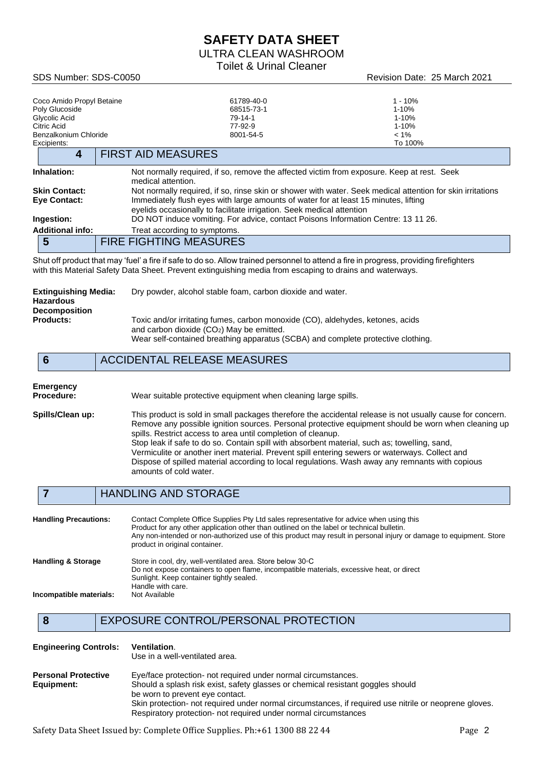ULTRA CLEAN WASHROOM

Toilet & Urinal Cleaner

SDS Number: SDS-C0050 Revision Date: 25 March 2021

| Coco Amido Propyl Betaine<br>Poly Glucoside<br>Glycolic Acid<br>Citric Acid<br>Benzalkonium Chloride | 61789-40-0<br>68515-73-1<br>79-14-1<br>77-92-9<br>8001-54-5                                                                                                  | $1 - 10%$<br>$1 - 10%$<br>1-10%<br>$1 - 10%$<br>$< 1\%$                                                    |
|------------------------------------------------------------------------------------------------------|--------------------------------------------------------------------------------------------------------------------------------------------------------------|------------------------------------------------------------------------------------------------------------|
| Excipients:<br>4                                                                                     | <b>FIRST AID MEASURES</b>                                                                                                                                    | To 100%                                                                                                    |
| Inhalation:                                                                                          | medical attention.                                                                                                                                           | Not normally required, if so, remove the affected victim from exposure. Keep at rest. Seek                 |
| <b>Skin Contact:</b><br><b>Eye Contact:</b>                                                          | Immediately flush eyes with large amounts of water for at least 15 minutes, lifting<br>eyelids occasionally to facilitate irrigation. Seek medical attention | Not normally required, if so, rinse skin or shower with water. Seek medical attention for skin irritations |
| Ingestion:                                                                                           |                                                                                                                                                              | DO NOT induce vomiting. For advice, contact Poisons Information Centre: 13 11 26.                          |
| <b>Additional info:</b>                                                                              | Treat according to symptoms.                                                                                                                                 |                                                                                                            |
| 5                                                                                                    | <b>FIRE FIGHTING MEASURES</b>                                                                                                                                |                                                                                                            |
|                                                                                                      | Shut off product that may 'fuel' a fire if safe to do so. Allow trained personnel to attend a fire in progress, providing firefighters                       |                                                                                                            |

Shut off product that may 'fuel' a fire if safe to do so. Allow trained personnel to attend a fire in progress, providing firefighters with this Material Safety Data Sheet. Prevent extinguishing media from escaping to drains and waterways.

| Extinguishing Media:<br>Hazardous<br><b>Decomposition</b> | Dry powder, alcohol stable foam, carbon dioxide and water.                                                                                                                                                       |
|-----------------------------------------------------------|------------------------------------------------------------------------------------------------------------------------------------------------------------------------------------------------------------------|
| <b>Products:</b>                                          | Toxic and/or irritating fumes, carbon monoxide (CO), aldehydes, ketones, acids<br>and carbon dioxide $(CO2)$ May be emitted.<br>Wear self-contained breathing apparatus (SCBA) and complete protective clothing. |

### **6** ACCIDENTAL RELEASE MEASURES

# **Emergency**

Wear suitable protective equipment when cleaning large spills.

**Spills/Clean up:** This product is sold in small packages therefore the accidental release is not usually cause for concern. Remove any possible ignition sources. Personal protective equipment should be worn when cleaning up spills. Restrict access to area until completion of cleanup. Stop leak if safe to do so. Contain spill with absorbent material, such as; towelling, sand, Vermiculite or another inert material. Prevent spill entering sewers or waterways. Collect and Dispose of spilled material according to local regulations. Wash away any remnants with copious amounts of cold water.

### **7** HANDLING AND STORAGE

| <b>Handling Precautions:</b>  | Contact Complete Office Supplies Pty Ltd sales representative for advice when using this<br>Product for any other application other than outlined on the label or technical bulletin.<br>Any non-intended or non-authorized use of this product may result in personal injury or damage to equipment. Store<br>product in original container. |
|-------------------------------|-----------------------------------------------------------------------------------------------------------------------------------------------------------------------------------------------------------------------------------------------------------------------------------------------------------------------------------------------|
| <b>Handling &amp; Storage</b> | Store in cool, dry, well-ventilated area. Store below 30 °C<br>Do not expose containers to open flame, incompatible materials, excessive heat, or direct<br>Sunlight. Keep container tightly sealed.<br>Handle with care.                                                                                                                     |
| Incompatible materials:       | Not Available                                                                                                                                                                                                                                                                                                                                 |

### **8** EXPOSURE CONTROL/PERSONAL PROTECTION

| <b>Engineering Controls:</b>             | <b>Ventilation.</b><br>Use in a well-ventilated area.                                                                                                                               |
|------------------------------------------|-------------------------------------------------------------------------------------------------------------------------------------------------------------------------------------|
| <b>Personal Protective</b><br>Equipment: | Eye/face protection- not required under normal circumstances.<br>Should a splash risk exist, safety glasses or chemical resistant goggles should<br>be worn to prevent eye contact. |
|                                          | Skin protection- not required under normal circumstances, if required use nitrile or neoprene gloves.<br>Respiratory protection- not required under normal circumstances            |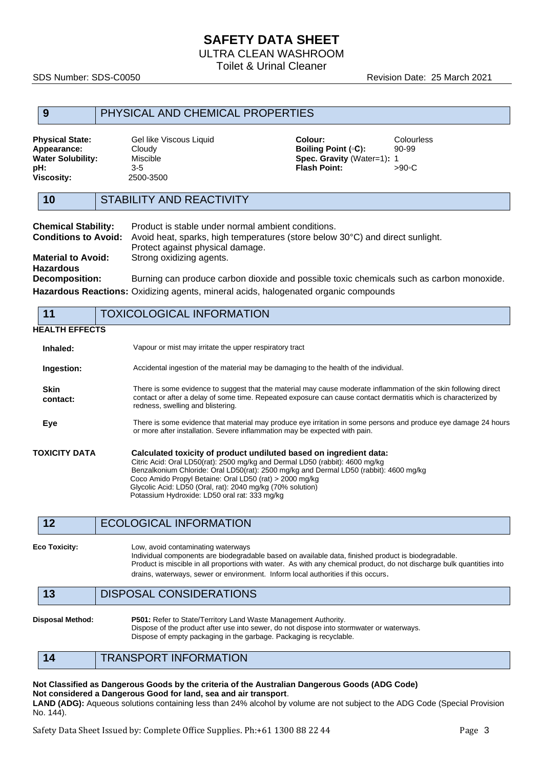ULTRA CLEAN WASHROOM

Toilet & Urinal Cleaner

SDS Number: SDS-C0050 Revision Date: 25 March 2021

### **9** PHYSICAL AND CHEMICAL PROPERTIES

| <b>Physical State:</b> | Gel like Viscous Liquid | Colour:                           | Colourless |
|------------------------|-------------------------|-----------------------------------|------------|
| Appearance:            | Cloudv                  | <b>Boiling Point (°C):</b>        | 90-99      |
| Water Solubility:      | Miscible                | <b>Spec. Gravity (Water=1): 1</b> |            |
| pH:                    | $3-5$                   | <b>Flash Point:</b>               | >90∘C      |
| Viscositv:             | 2500-3500               |                                   |            |

| 10                         | STABILITY AND REACTIVITY                           |
|----------------------------|----------------------------------------------------|
| <b>Chemical Stability:</b> | Product is stable under normal ambient conditions. |

|                                        | <b>Conditions to Avoid:</b> Avoid heat, sparks, high temperatures (store below 30°C) and direct sunlight. |
|----------------------------------------|-----------------------------------------------------------------------------------------------------------|
|                                        | Protect against physical damage.                                                                          |
| <b>Material to Avoid:</b><br>Hazardous | Strong oxidizing agents.                                                                                  |
| <b>Decomposition:</b>                  | Burning can produce carbon dioxide and possible toxic chemicals such as carbon monoxide.                  |
|                                        |                                                                                                           |

**Hazardous Reactions:** Oxidizing agents, mineral acids, halogenated organic compounds

#### **11** TOXICOLOGICAL INFORMATION **HEALTH EFFECTS Inhaled:** Vapour or mist may irritate the upper respiratory tract **Ingestion:** Accidental ingestion of the material may be damaging to the health of the individual. **Skin contact:** There is some evidence to suggest that the material may cause moderate inflammation of the skin following direct contact or after a delay of some time. Repeated exposure can cause contact dermatitis which is characterized by redness, swelling and blistering. **Eye** There is some evidence that material may produce eye irritation in some persons and produce eye damage 24 hours or more after installation. Severe inflammation may be expected with pain. **TOXICITY DATA Calculated toxicity of product undiluted based on ingredient data:** Citric Acid: Oral LD50(rat): 2500 mg/kg and Dermal LD50 (rabbit): 4600 mg/kg Benzalkonium Chloride: Oral LD50(rat): 2500 mg/kg and Dermal LD50 (rabbit): 4600 mg/kg Coco Amido Propyl Betaine: Oral LD50 (rat) > 2000 mg/kg Glycolic Acid: LD50 (Oral, rat): 2040 mg/kg (70% solution) Potassium Hydroxide: LD50 oral rat: 333 mg/kg

**Eco Toxicity:** Low, avoid contaminating waterways Individual components are biodegradable based on available data, finished product is biodegradable. Product is miscible in all proportions with water. As with any chemical product, do not discharge bulk quantities into drains, waterways, sewer or environment. Inform local authorities if this occurs.

**13** DISPOSAL CONSIDERATIONS

**Disposal Method: P501:** Refer to State/Territory Land Waste Management Authority. Dispose of the product after use into sewer, do not dispose into stormwater or waterways. Dispose of empty packaging in the garbage. Packaging is recyclable.

**14** TRANSPORT INFORMATION

#### **Not Classified as Dangerous Goods by the criteria of the Australian Dangerous Goods (ADG Code) Not considered a Dangerous Good for land, sea and air transport**.

**LAND (ADG):** Aqueous solutions containing less than 24% alcohol by volume are not subject to the ADG Code (Special Provision No. 144).